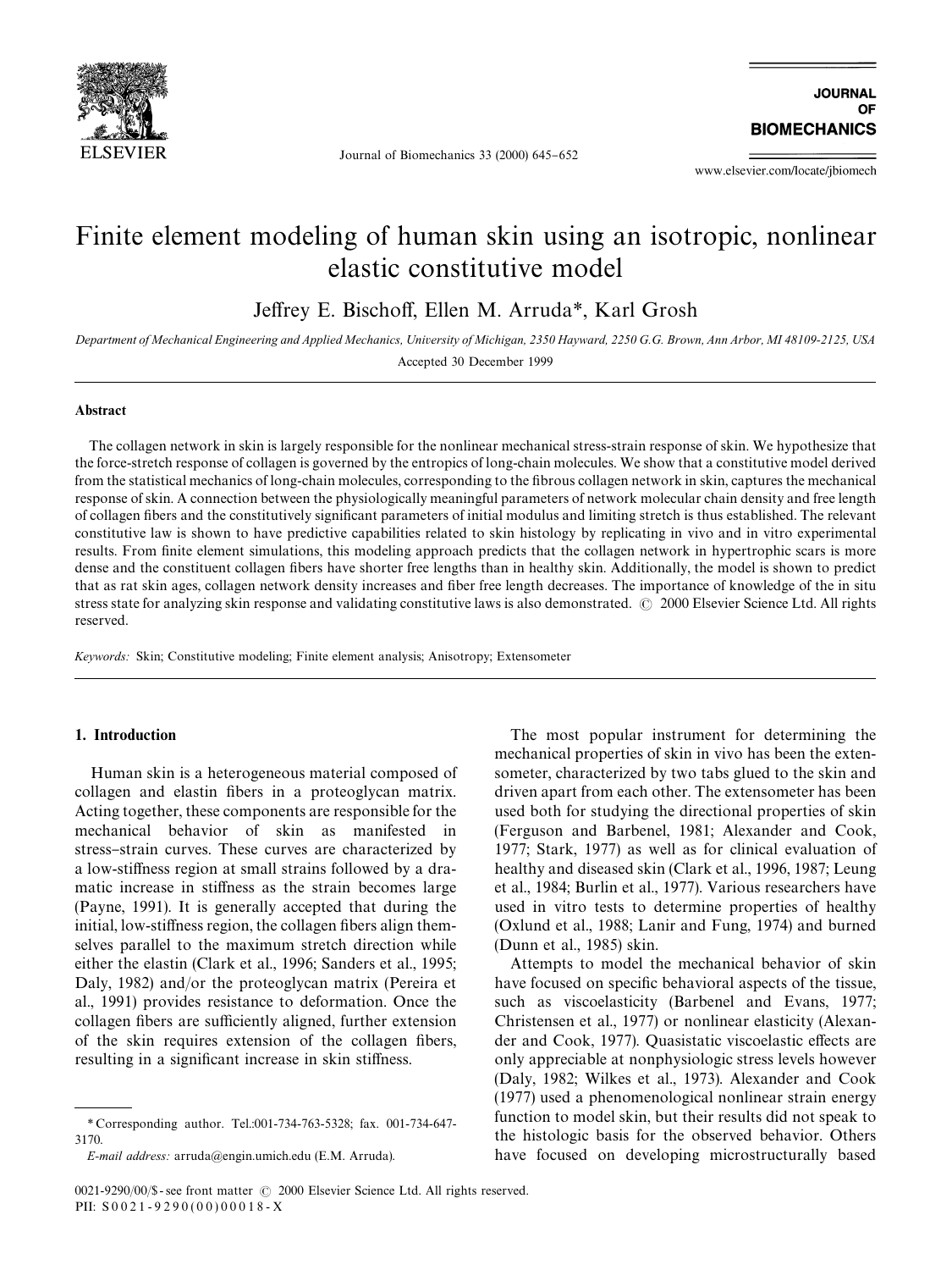

Journal of Biomechanics  $33$  (2000) 645-652

www.elsevier.com/locate/jbiomech

# Finite element modeling of human skin using an isotropic, nonlinear elastic constitutive model

Jeffrey E. Bischoff, Ellen M. Arruda<sup>\*</sup>, Karl Grosh

*Department of Mechanical Engineering and Applied Mechanics, University of Michigan, 2350 Hayward, 2250 G.G. Brown, Ann Arbor, MI 48109-2125, USA* Accepted 30 December 1999

#### Abstract

The collagen network in skin is largely responsible for the nonlinear mechanical stress-strain response of skin. We hypothesize that the force-stretch response of collagen is governed by the entropics of long-chain molecules. We show that a constitutive model derived from the statistical mechanics of long-chain molecules, corresponding to the fibrous collagen network in skin, captures the mechanical response of skin. A connection between the physiologically meaningful parameters of network molecular chain density and free length of collagen fibers and the constitutively significant parameters of initial modulus and limiting stretch is thus established. The relevant constitutive law is shown to have predictive capabilities related to skin histology by replicating in vivo and in vitro experimental results. From finite element simulations, this modeling approach predicts that the collagen network in hypertrophic scars is more dense and the constituent collagen fibers have shorter free lengths than in healthy skin. Additionally, the model is shown to predict that as rat skin ages, collagen network density increases and fiber free length decreases. The importance of knowledge of the in situ stress state for analyzing skin response and validating constitutive laws is also demonstrated. © 2000 Elsevier Science Ltd. All rights reserved.

*Keywords:* Skin; Constitutive modeling; Finite element analysis; Anisotropy; Extensometer

## 1. Introduction

Human skin is a heterogeneous material composed of collagen and elastin fibers in a proteoglycan matrix. Acting together, these components are responsible for the mechanical behavior of skin as manifested in stress-strain curves. These curves are characterized by a low-stiffness region at small strains followed by a dramatic increase in stiffness as the strain becomes large (Payne, 1991). It is generally accepted that during the initial, low-stiffness region, the collagen fibers align themselves parallel to the maximum stretch direction while either the elastin (Clark et al., 1996; Sanders et al., 1995; Daly, 1982) and/or the proteoglycan matrix (Pereira et al., 1991) provides resistance to deformation. Once the collagen fibers are sufficiently aligned, further extension of the skin requires extension of the collagen fibers, resulting in a significant increase in skin stiffness.

The most popular instrument for determining the mechanical properties of skin in vivo has been the extensometer, characterized by two tabs glued to the skin and driven apart from each other. The extensometer has been used both for studying the directional properties of skin (Ferguson and Barbenel, 1981; Alexander and Cook, 1977; Stark, 1977) as well as for clinical evaluation of healthy and diseased skin (Clark et al., 1996, 1987; Leung et al., 1984; Burlin et al., 1977). Various researchers have used in vitro tests to determine properties of healthy (Oxlund et al., 1988; Lanir and Fung, 1974) and burned (Dunn et al., 1985) skin.

Attempts to model the mechanical behavior of skin have focused on specific behavioral aspects of the tissue, such as viscoelasticity (Barbenel and Evans, 1977; Christensen et al., 1977) or nonlinear elasticity (Alexander and Cook, 1977). Quasistatic viscoelastic effects are only appreciable at nonphysiologic stress levels however (Daly, 1982; Wilkes et al., 1973). Alexander and Cook (1977) used a phenomenological nonlinear strain energy function to model skin, but their results did not speak to the histologic basis for the observed behavior. Others have focused on developing microstructurally based

*<sup>\*</sup>* Corresponding author. Tel.:001-734-763-5328; fax. 001-734-647- 3170.

*E-mail address:* arruda@engin.umich.edu (E.M. Arruda).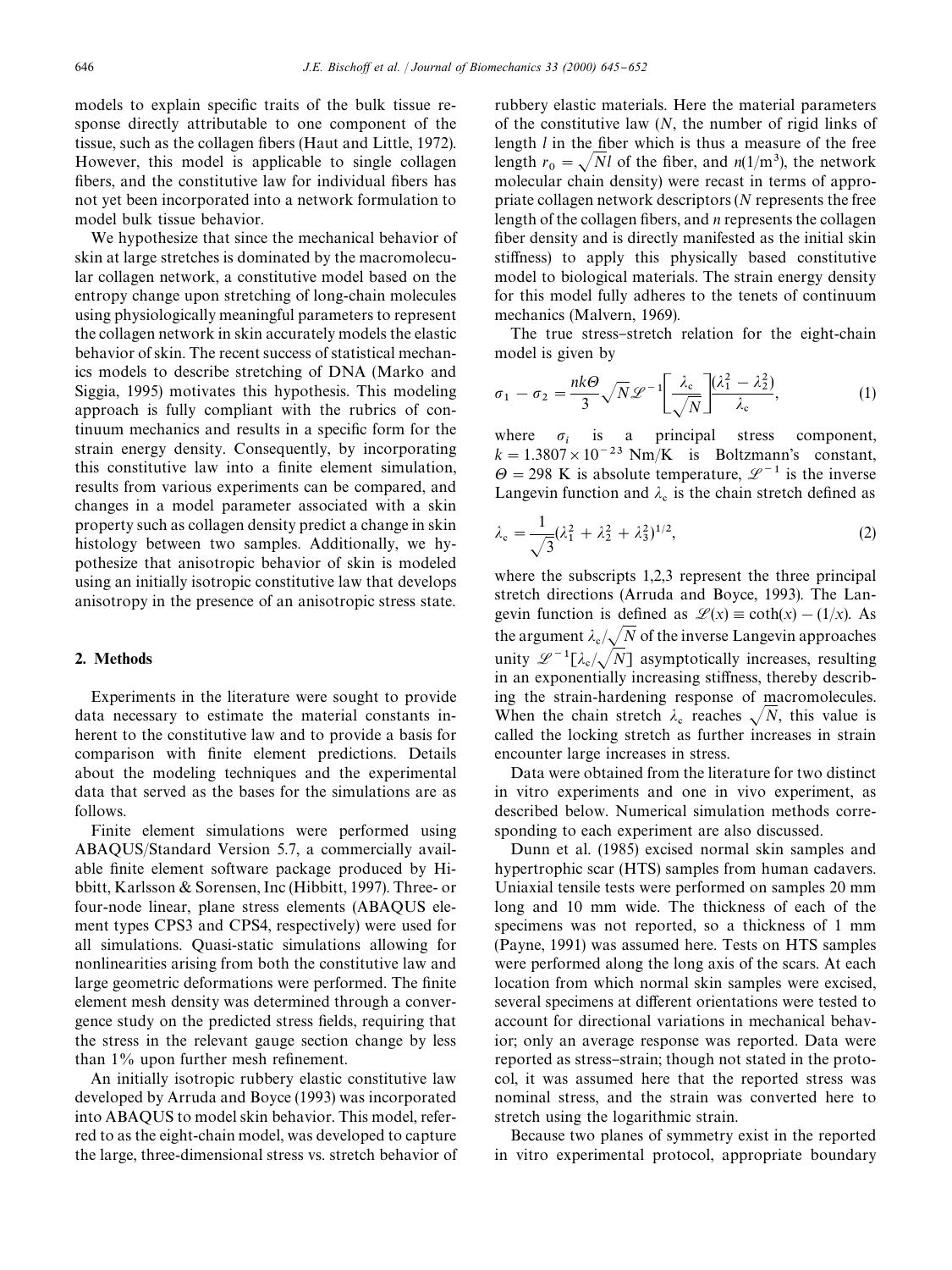models to explain specific traits of the bulk tissue response directly attributable to one component of the tissue, such as the collagen fibers (Haut and Little, 1972). However, this model is applicable to single collagen fibers, and the constitutive law for individual fibers has not yet been incorporated into a network formulation to model bulk tissue behavior.

We hypothesize that since the mechanical behavior of skin at large stretches is dominated by the macromolecular collagen network, a constitutive model based on the entropy change upon stretching of long-chain molecules using physiologically meaningful parameters to represent the collagen network in skin accurately models the elastic behavior of skin. The recent success of statistical mechanics models to describe stretching of DNA (Marko and Siggia, 1995) motivates this hypothesis. This modeling approach is fully compliant with the rubrics of continuum mechanics and results in a specific form for the strain energy density. Consequently, by incorporating this constitutive law into a finite element simulation, results from various experiments can be compared, and changes in a model parameter associated with a skin property such as collagen density predict a change in skin histology between two samples. Additionally, we hypothesize that anisotropic behavior of skin is modeled using an initially isotropic constitutive law that develops anisotropy in the presence of an anisotropic stress state.

# 2. Methods

Experiments in the literature were sought to provide data necessary to estimate the material constants inherent to the constitutive law and to provide a basis for comparison with finite element predictions. Details about the modeling techniques and the experimental data that served as the bases for the simulations are as follows.

Finite element simulations were performed using ABAQUS/Standard Version 5.7, a commercially available finite element software package produced by Hibbitt, Karlsson & Sorensen, Inc (Hibbitt, 1997). Three- or four-node linear, plane stress elements (ABAQUS element types CPS3 and CPS4, respectively) were used for all simulations. Quasi-static simulations allowing for nonlinearities arising from both the constitutive law and large geometric deformations were performed. The finite element mesh density was determined through a convergence study on the predicted stress fields, requiring that the stress in the relevant gauge section change by less than 1% upon further mesh refinement.

An initially isotropic rubbery elastic constitutive law developed by Arruda and Boyce (1993) was incorporated into ABAQUS to model skin behavior. This model, referred to as the eight-chain model, was developed to capture the large, three-dimensional stress vs. stretch behavior of rubbery elastic materials. Here the material parameters of the constitutive law (*N*, the number of rigid links of length *l* in the fiber which is thus a measure of the free length  $r_0 = \sqrt{N}l$  of the fiber, and  $n(1/m^3)$ , the network molecular chain density) were recast in terms of appropriate collagen network descriptors (*N* represents the free length of the collagen fibers, and *n* represents the collagen fiber density and is directly manifested as the initial skin stiffness) to apply this physically based constitutive model to biological materials. The strain energy density for this model fully adheres to the tenets of continuum mechanics (Malvern, 1969).

The true stress-stretch relation for the eight-chain model is given by

$$
\sigma_1 - \sigma_2 = \frac{nk\Theta}{3} \sqrt{N} \mathcal{L}^{-1} \left[ \frac{\lambda_c}{\sqrt{N}} \right] \frac{(\lambda_1^2 - \lambda_2^2)}{\lambda_c},\tag{1}
$$

where  $\sigma_i$  is a principal stress component,  $k = 1.3807 \times 10^{-23}$  Nm/K is Boltzmann's constant,  $\Theta$  = 298 K is absolute temperature,  $\mathscr{L}^{-1}$  is the inverse Langevin function and  $\lambda_c$  is the chain stretch defined as

$$
\lambda_{\rm c} = \frac{1}{\sqrt{3}} (\lambda_1^2 + \lambda_2^2 + \lambda_3^2)^{1/2},\tag{2}
$$

where the subscripts 1,2,3 represent the three principal stretch directions (Arruda and Boyce, 1993). The Langevin function is defined as  $\mathcal{L}(x) \equiv \coth(x) - (1/x)$ . As the argument  $\lambda_c / \sqrt{N}$  of the inverse Langevin approaches unity  $\mathscr{L}^{-1}[\lambda_c/\sqrt{N}]$  asymptotically increases, resulting in an exponentially increasing stiffness, thereby describing the strain-hardening response of macromolecules. When the chain stretch  $\lambda_c$  reaches  $\sqrt{N}$ , this value is called the locking stretch as further increases in strain encounter large increases in stress.

Data were obtained from the literature for two distinct in vitro experiments and one in vivo experiment, as described below. Numerical simulation methods corresponding to each experiment are also discussed.

Dunn et al. (1985) excised normal skin samples and hypertrophic scar (HTS) samples from human cadavers. Uniaxial tensile tests were performed on samples 20 mm long and 10 mm wide. The thickness of each of the specimens was not reported, so a thickness of 1 mm (Payne, 1991) was assumed here. Tests on HTS samples were performed along the long axis of the scars. At each location from which normal skin samples were excised, several specimens at different orientations were tested to account for directional variations in mechanical behavior; only an average response was reported. Data were reported as stress-strain; though not stated in the protocol, it was assumed here that the reported stress was nominal stress, and the strain was converted here to stretch using the logarithmic strain.

Because two planes of symmetry exist in the reported in vitro experimental protocol, appropriate boundary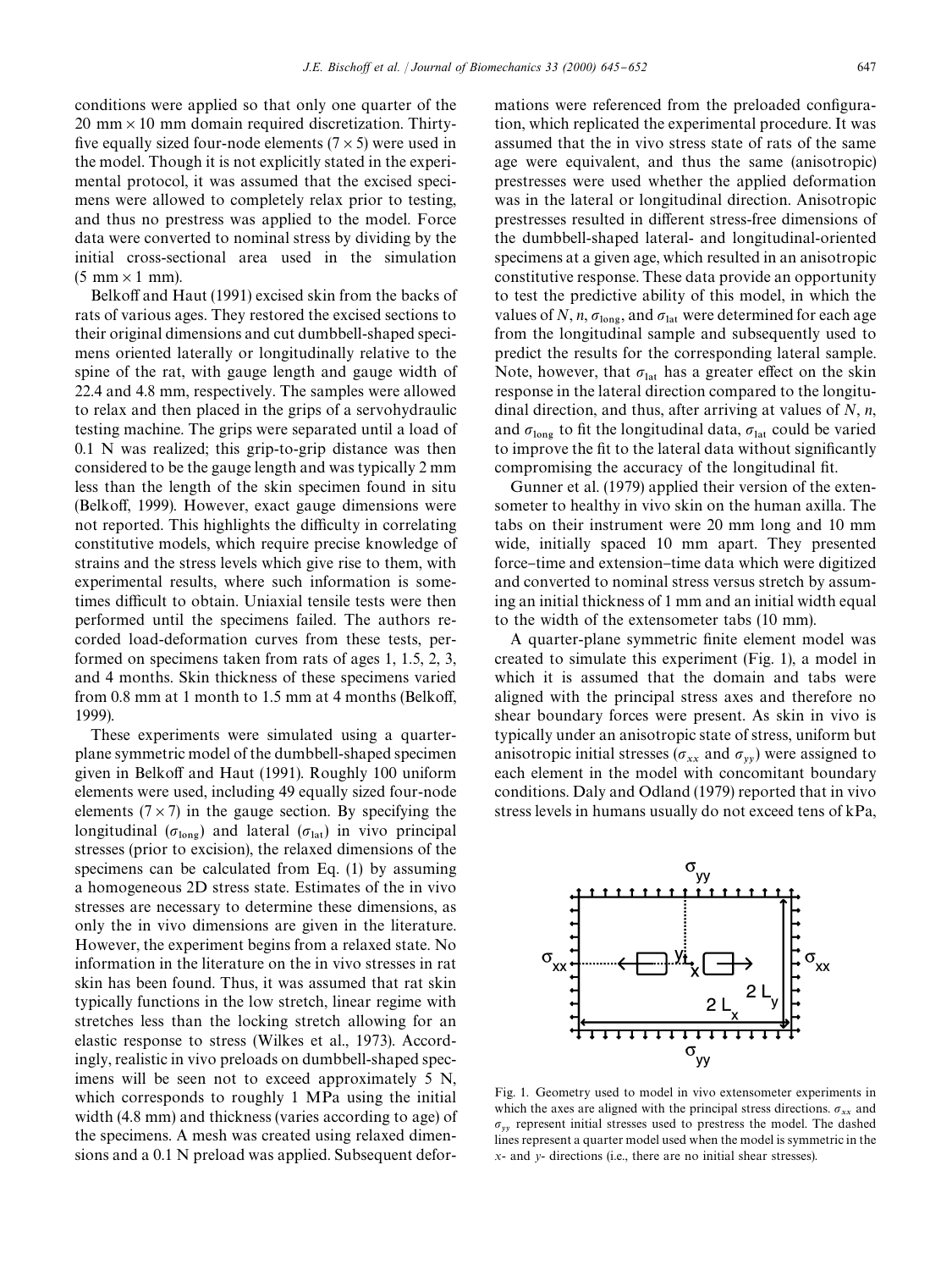conditions were applied so that only one quarter of the  $20 \text{ mm} \times 10 \text{ mm}$  domain required discretization. Thirtyfive equally sized four-node elements ( $7 \times 5$ ) were used in the model. Though it is not explicitly stated in the experimental protocol, it was assumed that the excised specimens were allowed to completely relax prior to testing, and thus no prestress was applied to the model. Force data were converted to nominal stress by dividing by the initial cross-sectional area used in the simulation  $(5 \text{ mm} \times 1 \text{ mm})$ .

Belkoff and Haut (1991) excised skin from the backs of rats of various ages. They restored the excised sections to their original dimensions and cut dumbbell-shaped specimens oriented laterally or longitudinally relative to the spine of the rat, with gauge length and gauge width of 22.4 and 4.8 mm, respectively. The samples were allowed to relax and then placed in the grips of a servohydraulic testing machine. The grips were separated until a load of 0.1 N was realized; this grip-to-grip distance was then considered to be the gauge length and was typically 2 mm less than the length of the skin specimen found in situ (Belkoff, 1999). However, exact gauge dimensions were not reported. This highlights the difficulty in correlating constitutive models, which require precise knowledge of strains and the stress levels which give rise to them, with experimental results, where such information is sometimes difficult to obtain. Uniaxial tensile tests were then performed until the specimens failed. The authors recorded load-deformation curves from these tests, performed on specimens taken from rats of ages 1, 1.5, 2, 3, and 4 months. Skin thickness of these specimens varied from  $0.8$  mm at 1 month to  $1.5$  mm at 4 months (Belkoff, 1999).

These experiments were simulated using a quarterplane symmetric model of the dumbbell-shaped specimen given in Belkoff and Haut (1991). Roughly 100 uniform elements were used, including 49 equally sized four-node elements ( $7 \times 7$ ) in the gauge section. By specifying the longitudinal ( $\sigma_{\text{long}}$ ) and lateral ( $\sigma_{\text{lat}}$ ) in vivo principal stresses (prior to excision), the relaxed dimensions of the specimens can be calculated from Eq. (1) by assuming a homogeneous 2D stress state. Estimates of the in vivo stresses are necessary to determine these dimensions, as only the in vivo dimensions are given in the literature. However, the experiment begins from a relaxed state. No information in the literature on the in vivo stresses in rat skin has been found. Thus, it was assumed that rat skin typically functions in the low stretch, linear regime with stretches less than the locking stretch allowing for an elastic response to stress (Wilkes et al., 1973). Accordingly, realistic in vivo preloads on dumbbell-shaped specimens will be seen not to exceed approximately 5 N, which corresponds to roughly 1 MPa using the initial width (4.8 mm) and thickness (varies according to age) of the specimens. A mesh was created using relaxed dimensions and a 0.1 N preload was applied. Subsequent deformations were referenced from the preloaded configuration, which replicated the experimental procedure. It was assumed that the in vivo stress state of rats of the same age were equivalent, and thus the same (anisotropic) prestresses were used whether the applied deformation was in the lateral or longitudinal direction. Anisotropic prestresses resulted in different stress-free dimensions of the dumbbell-shaped lateral- and longitudinal-oriented specimens at a given age, which resulted in an anisotropic constitutive response. These data provide an opportunity to test the predictive ability of this model, in which the values of *N*, *n*,  $\sigma_{\text{long}}$ , and  $\sigma_{\text{lat}}$  were determined for each age from the longitudinal sample and subsequently used to predict the results for the corresponding lateral sample. Note, however, that  $\sigma_{\text{lat}}$  has a greater effect on the skin response in the lateral direction compared to the longitudinal direction, and thus, after arriving at values of *N*, *n*, and  $\sigma_{\text{long}}$  to fit the longitudinal data,  $\sigma_{\text{lat}}$  could be varied to improve the fit to the lateral data without significantly compromising the accuracy of the longitudinal fit.

Gunner et al. (1979) applied their version of the extensometer to healthy in vivo skin on the human axilla. The tabs on their instrument were 20 mm long and 10 mm wide, initially spaced 10 mm apart. They presented force–time and extension–time data which were digitized and converted to nominal stress versus stretch by assuming an initial thickness of 1 mm and an initial width equal to the width of the extensometer tabs (10 mm).

A quarter-plane symmetric finite element model was created to simulate this experiment (Fig. 1), a model in which it is assumed that the domain and tabs were aligned with the principal stress axes and therefore no shear boundary forces were present. As skin in vivo is typically under an anisotropic state of stress, uniform but anisotropic initial stresses ( $\sigma_{xx}$  and  $\sigma_{yy}$ ) were assigned to each element in the model with concomitant boundary conditions. Daly and Odland (1979) reported that in vivo stress levels in humans usually do not exceed tens of kPa,



Fig. 1. Geometry used to model in vivo extensometer experiments in which the axes are aligned with the principal stress directions.  $\sigma_{xx}$  and  $\sigma_{yy}$  represent initial stresses used to prestress the model. The dashed lines represent a quarter model used when the model is symmetric in the *x*- and *y*- directions (i.e., there are no initial shear stresses).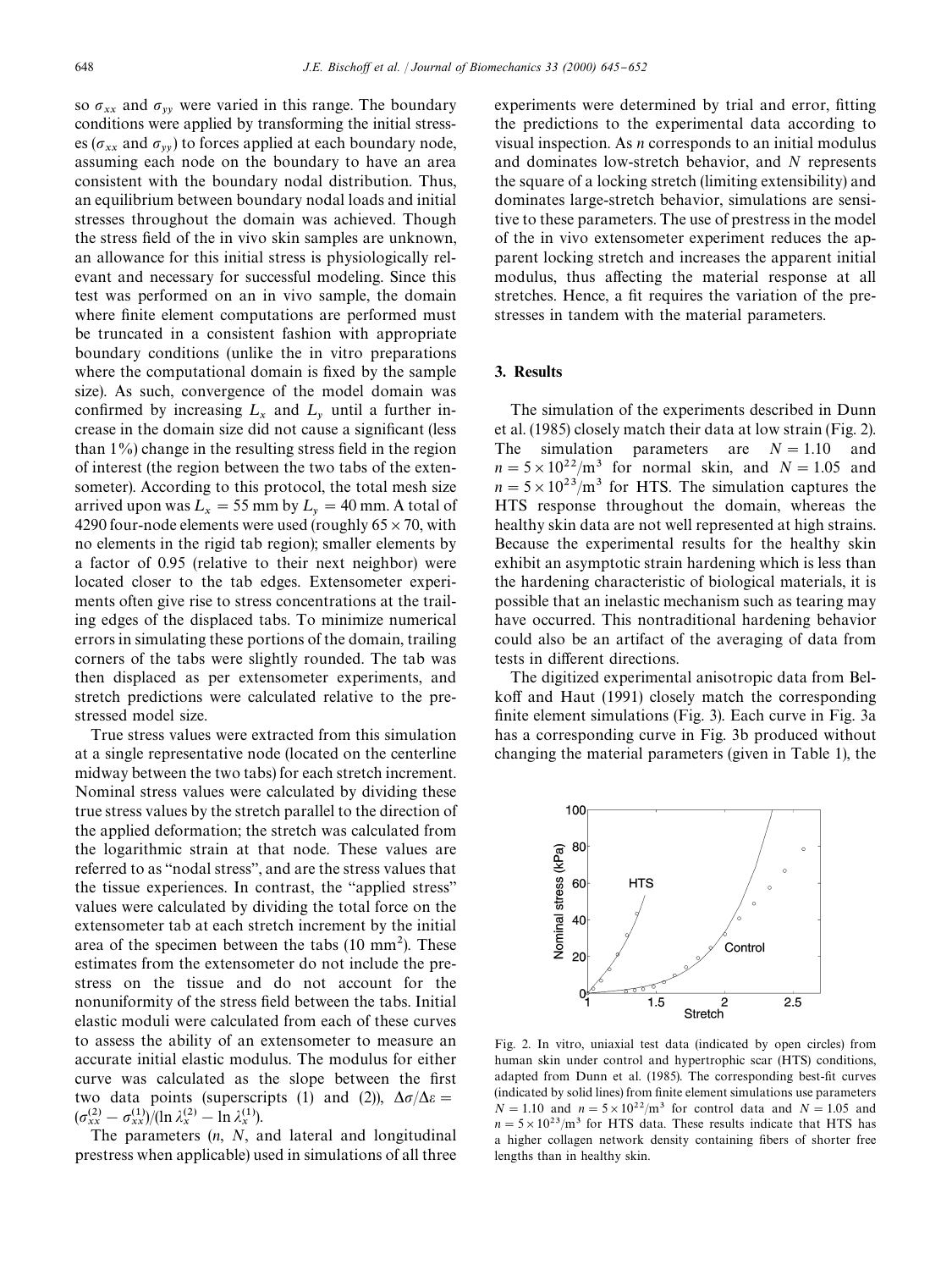so  $\sigma_{xx}$  and  $\sigma_{yy}$  were varied in this range. The boundary conditions were applied by transforming the initial stresses ( $\sigma_{xx}$  and  $\sigma_{yy}$ ) to forces applied at each boundary node, assuming each node on the boundary to have an area consistent with the boundary nodal distribution. Thus, an equilibrium between boundary nodal loads and initial stresses throughout the domain was achieved. Though the stress field of the in vivo skin samples are unknown, an allowance for this initial stress is physiologically relevant and necessary for successful modeling. Since this test was performed on an in vivo sample, the domain where finite element computations are performed must be truncated in a consistent fashion with appropriate boundary conditions (unlike the in vitro preparations where the computational domain is fixed by the sample size). As such, convergence of the model domain was confirmed by increasing  $L_x$  and  $L_y$  until a further increase in the domain size did not cause a significant (less than  $1\%$ ) change in the resulting stress field in the region of interest (the region between the two tabs of the extensometer). According to this protocol, the total mesh size arrived upon was  $L_x = 55$  mm by  $L_y = 40$  mm. A total of 4290 four-node elements were used (roughly  $65 \times 70$ , with no elements in the rigid tab region); smaller elements by a factor of 0.95 (relative to their next neighbor) were located closer to the tab edges. Extensometer experiments often give rise to stress concentrations at the trailing edges of the displaced tabs. To minimize numerical errors in simulating these portions of the domain, trailing corners of the tabs were slightly rounded. The tab was then displaced as per extensometer experiments, and stretch predictions were calculated relative to the prestressed model size.

True stress values were extracted from this simulation at a single representative node (located on the centerline midway between the two tabs) for each stretch increment. Nominal stress values were calculated by dividing these true stress values by the stretch parallel to the direction of the applied deformation; the stretch was calculated from the logarithmic strain at that node. These values are referred to as "nodal stress", and are the stress values that the tissue experiences. In contrast, the "applied stress" values were calculated by dividing the total force on the extensometer tab at each stretch increment by the initial area of the specimen between the tabs  $(10 \text{ mm}^2)$ . These estimates from the extensometer do not include the prestress on the tissue and do not account for the nonuniformity of the stress field between the tabs. Initial elastic moduli were calculated from each of these curves to assess the ability of an extensometer to measure an accurate initial elastic modulus. The modulus for either curve was calculated as the slope between the first two data points (superscripts (1) and (2)),  $\Delta \sigma / \Delta \varepsilon =$  $(\sigma_{xx}^{(2)} - \sigma_{xx}^{(1)})/(\ln \lambda_x^{(2)} - \ln \lambda_x^{(1)}).$ 

The parameters (*n*, *N*, and lateral and longitudinal prestress when applicable) used in simulations of all three experiments were determined by trial and error, fitting the predictions to the experimental data according to visual inspection. As *n* corresponds to an initial modulus and dominates low-stretch behavior, and *N* represents the square of a locking stretch (limiting extensibility) and dominates large-stretch behavior, simulations are sensitive to these parameters. The use of prestress in the model of the in vivo extensometer experiment reduces the apparent locking stretch and increases the apparent initial modulus, thus affecting the material response at all stretches. Hence, a fit requires the variation of the prestresses in tandem with the material parameters.

#### 3. Results

The simulation of the experiments described in Dunn et al. (1985) closely match their data at low strain (Fig. 2). The simulation parameters are  $N = 1.10$  and  $n = 5 \times 10^{22}$ /m<sup>3</sup> for normal skin, and  $N = 1.05$  and  $n = 5 \times 10^{23}$ /m<sup>3</sup> for HTS. The simulation captures the HTS response throughout the domain, whereas the healthy skin data are not well represented at high strains. Because the experimental results for the healthy skin exhibit an asymptotic strain hardening which is less than the hardening characteristic of biological materials, it is possible that an inelastic mechanism such as tearing may have occurred. This nontraditional hardening behavior could also be an artifact of the averaging of data from tests in different directions.

The digitized experimental anisotropic data from Belkoff and Haut (1991) closely match the corresponding finite element simulations (Fig. 3). Each curve in Fig. 3a has a corresponding curve in Fig. 3b produced without changing the material parameters (given in Table 1), the



Fig. 2. In vitro, uniaxial test data (indicated by open circles) from human skin under control and hypertrophic scar (HTS) conditions, adapted from Dunn et al. (1985). The corresponding best-fit curves (indicated by solid lines) from finite element simulations use parameters  $N = 1.10$  and  $n = 5 \times 10^{22} / m^3$  for control data and  $N = 1.05$  and  $n = 5 \times 10^{23}$ /m<sup>3</sup> for HTS data. These results indicate that HTS has a higher collagen network density containing fibers of shorter free lengths than in healthy skin.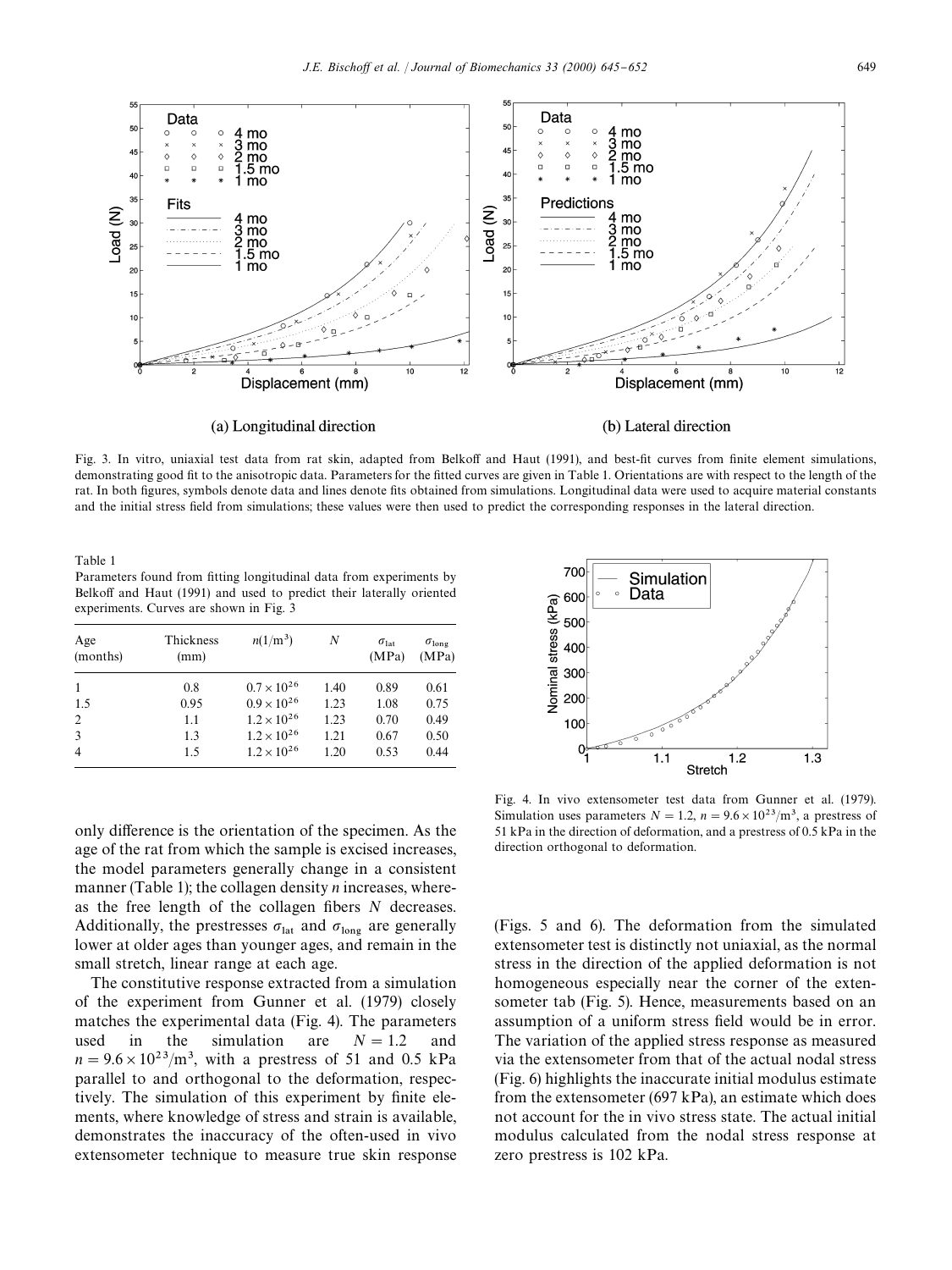

Fig. 3. In vitro, uniaxial test data from rat skin, adapted from Belkoff and Haut (1991), and best-fit curves from finite element simulations, demonstrating good fit to the anisotropic data. Parameters for the fitted curves are given in Table 1. Orientations are with respect to the length of the rat. In both figures, symbols denote data and lines denote fits obtained from simulations. Longitudinal data were used to acquire material constants and the initial stress field from simulations; these values were then used to predict the corresponding responses in the lateral direction.

Table 1

Parameters found from fitting longitudinal data from experiments by Belkoff and Haut (1991) and used to predict their laterally oriented experiments. Curves are shown in Fig. 3

| Age<br>(months) | Thickness<br>(mm) | $n(1/m^3)$           | N    | $\sigma_{\rm lat}$<br>(MPa) | $\sigma_{\text{long}}$<br>(MPa) |
|-----------------|-------------------|----------------------|------|-----------------------------|---------------------------------|
|                 | 0.8               | $0.7 \times 10^{26}$ | 1.40 | 0.89                        | 0.61                            |
| 1.5             | 0.95              | $0.9 \times 10^{26}$ | 1.23 | 1.08                        | 0.75                            |
| 2               | 1.1               | $1.2 \times 10^{26}$ | 1.23 | 0.70                        | 0.49                            |
| 3               | 1.3               | $1.2 \times 10^{26}$ | 1.21 | 0.67                        | 0.50                            |
| $\overline{4}$  | 1.5               | $1.2 \times 10^{26}$ | 1.20 | 0.53                        | 0.44                            |
|                 |                   |                      |      |                             |                                 |

only difference is the orientation of the specimen. As the age of the rat from which the sample is excised increases, the model parameters generally change in a consistent manner (Table 1); the collagen density *n* increases, whereas the free length of the collagen fibers *N* decreases. Additionally, the prestresses  $\sigma_{\text{lat}}$  and  $\sigma_{\text{long}}$  are generally lower at older ages than younger ages, and remain in the small stretch, linear range at each age.

The constitutive response extracted from a simulation of the experiment from Gunner et al. (1979) closely matches the experimental data (Fig. 4). The parameters used in the simulation are  $N = 1.2$  and  $n = 9.6 \times 10^{23}$ /m<sup>3</sup>, with a prestress of 51 and 0.5 kPa parallel to and orthogonal to the deformation, respectively. The simulation of this experiment by finite elements, where knowledge of stress and strain is available, demonstrates the inaccuracy of the often-used in vivo extensometer technique to measure true skin response



Fig. 4. In vivo extensometer test data from Gunner et al. (1979). Simulation uses parameters  $N = 1.2$ ,  $n = 9.6 \times 10^{23}$ /m<sup>3</sup>, a prestress of 51 kPa in the direction of deformation, and a prestress of 0.5 kPa in the direction orthogonal to deformation.

(Figs. 5 and 6). The deformation from the simulated extensometer test is distinctly not uniaxial, as the normal stress in the direction of the applied deformation is not homogeneous especially near the corner of the extensometer tab (Fig. 5). Hence, measurements based on an assumption of a uniform stress field would be in error. The variation of the applied stress response as measured via the extensometer from that of the actual nodal stress (Fig. 6) highlights the inaccurate initial modulus estimate from the extensometer (697 kPa), an estimate which does not account for the in vivo stress state. The actual initial modulus calculated from the nodal stress response at zero prestress is 102 kPa.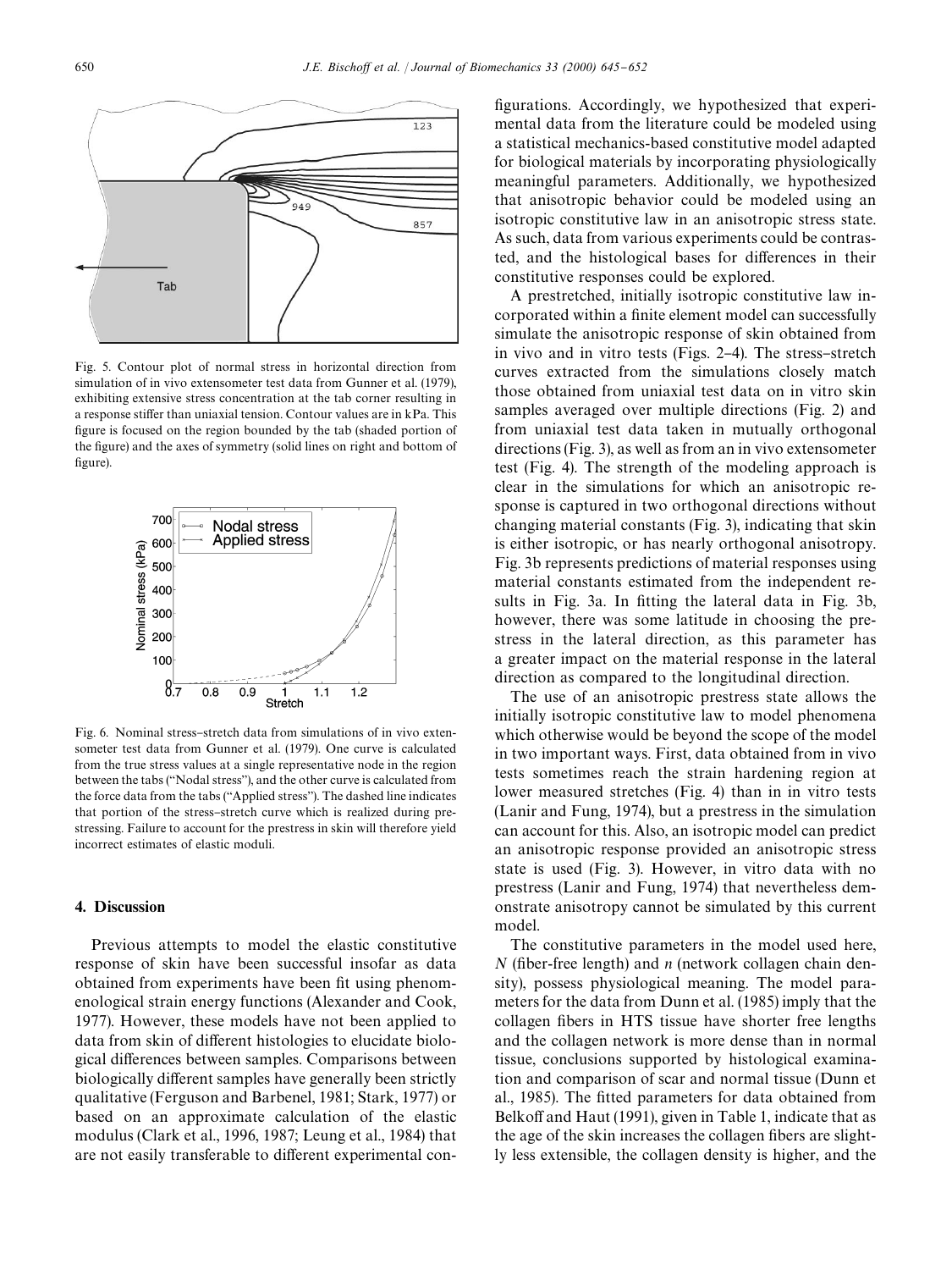

Fig. 5. Contour plot of normal stress in horizontal direction from simulation of in vivo extensometer test data from Gunner et al. (1979), exhibiting extensive stress concentration at the tab corner resulting in a response stiffer than uniaxial tension. Contour values are in  $kPa$ . This figure is focused on the region bounded by the tab (shaded portion of the figure) and the axes of symmetry (solid lines on right and bottom of figure).



Fig. 6. Nominal stress-stretch data from simulations of in vivo extensometer test data from Gunner et al. (1979). One curve is calculated from the true stress values at a single representative node in the region between the tabs ("Nodal stress"), and the other curve is calculated from the force data from the tabs ("Applied stress"). The dashed line indicates that portion of the stress-stretch curve which is realized during prestressing. Failure to account for the prestress in skin will therefore yield incorrect estimates of elastic moduli.

#### 4. Discussion

Previous attempts to model the elastic constitutive response of skin have been successful insofar as data obtained from experiments have been fit using phenomenological strain energy functions (Alexander and Cook, 1977). However, these models have not been applied to data from skin of different histologies to elucidate biological differences between samples. Comparisons between biologically different samples have generally been strictly qualitative (Ferguson and Barbenel, 1981; Stark, 1977) or based on an approximate calculation of the elastic modulus (Clark et al., 1996, 1987; Leung et al., 1984) that are not easily transferable to different experimental configurations. Accordingly, we hypothesized that experimental data from the literature could be modeled using a statistical mechanics-based constitutive model adapted for biological materials by incorporating physiologically meaningful parameters. Additionally, we hypothesized that anisotropic behavior could be modeled using an isotropic constitutive law in an anisotropic stress state. As such, data from various experiments could be contrasted, and the histological bases for differences in their constitutive responses could be explored.

A prestretched, initially isotropic constitutive law incorporated within a finite element model can successfully simulate the anisotropic response of skin obtained from in vivo and in vitro tests (Figs.  $2-4$ ). The stress-stretch curves extracted from the simulations closely match those obtained from uniaxial test data on in vitro skin samples averaged over multiple directions (Fig. 2) and from uniaxial test data taken in mutually orthogonal directions (Fig. 3), as well as from an in vivo extensometer test (Fig. 4). The strength of the modeling approach is clear in the simulations for which an anisotropic response is captured in two orthogonal directions without changing material constants (Fig. 3), indicating that skin is either isotropic, or has nearly orthogonal anisotropy. Fig. 3b represents predictions of material responses using material constants estimated from the independent results in Fig. 3a. In fitting the lateral data in Fig. 3b, however, there was some latitude in choosing the prestress in the lateral direction, as this parameter has a greater impact on the material response in the lateral direction as compared to the longitudinal direction.

The use of an anisotropic prestress state allows the initially isotropic constitutive law to model phenomena which otherwise would be beyond the scope of the model in two important ways. First, data obtained from in vivo tests sometimes reach the strain hardening region at lower measured stretches (Fig. 4) than in in vitro tests (Lanir and Fung, 1974), but a prestress in the simulation can account for this. Also, an isotropic model can predict an anisotropic response provided an anisotropic stress state is used (Fig. 3). However, in vitro data with no prestress (Lanir and Fung, 1974) that nevertheless demonstrate anisotropy cannot be simulated by this current model.

The constitutive parameters in the model used here,  $N$  (fiber-free length) and  $n$  (network collagen chain density), possess physiological meaning. The model parameters for the data from Dunn et al. (1985) imply that the collagen fibers in HTS tissue have shorter free lengths and the collagen network is more dense than in normal tissue, conclusions supported by histological examination and comparison of scar and normal tissue (Dunn et al., 1985). The fitted parameters for data obtained from Belkoff and Haut (1991), given in Table 1, indicate that as the age of the skin increases the collagen fibers are slightly less extensible, the collagen density is higher, and the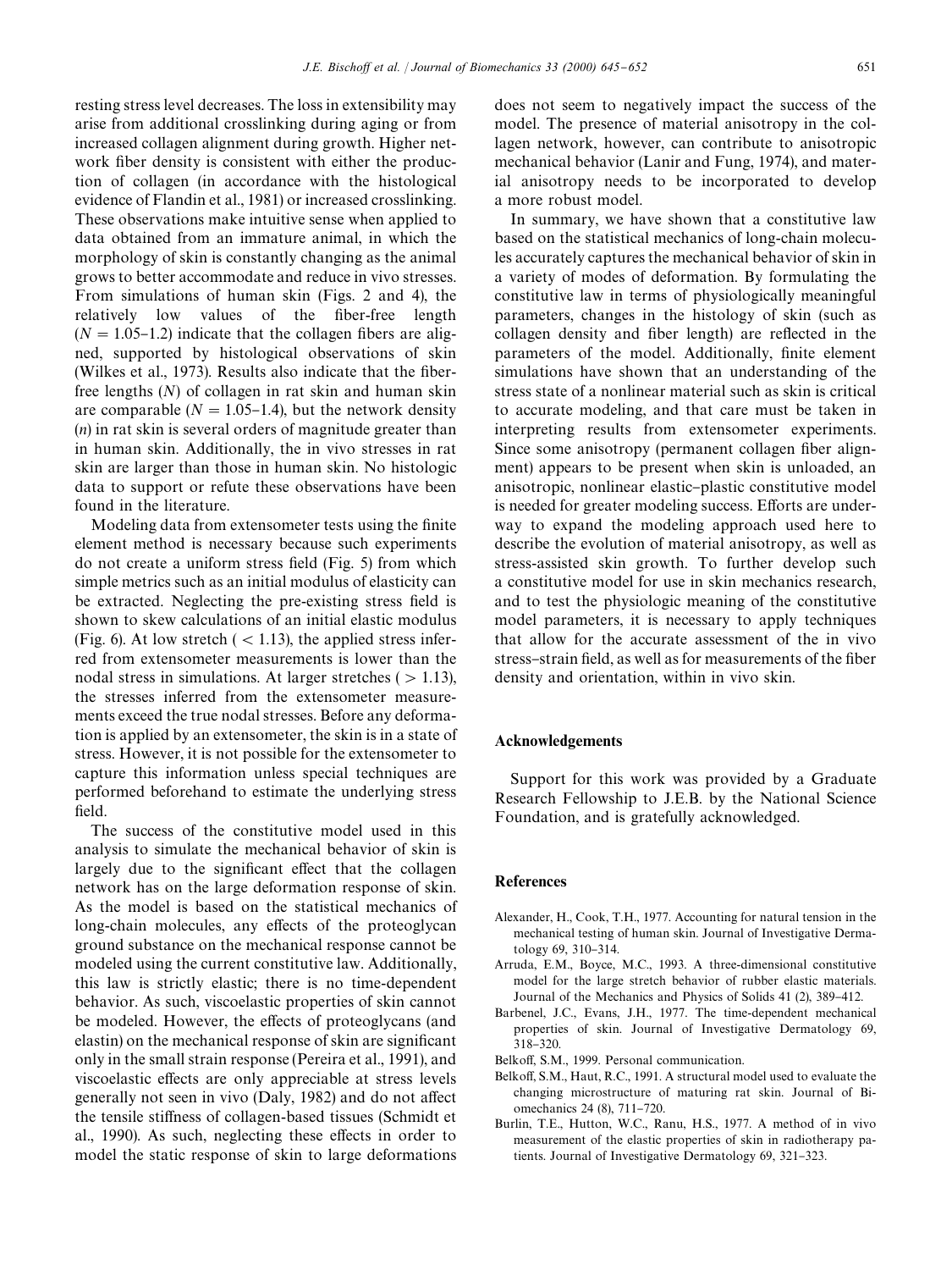resting stress level decreases. The loss in extensibility may arise from additional crosslinking during aging or from increased collagen alignment during growth. Higher network fiber density is consistent with either the production of collagen (in accordance with the histological evidence of Flandin et al., 1981) or increased crosslinking. These observations make intuitive sense when applied to data obtained from an immature animal, in which the morphology of skin is constantly changing as the animal grows to better accommodate and reduce in vivo stresses. From simulations of human skin (Figs. 2 and 4), the relatively low values of the fiber-free length  $(N = 1.05 - 1.2)$  indicate that the collagen fibers are aligned, supported by histological observations of skin (Wilkes et al., 1973). Results also indicate that the fiberfree lengths (*N*) of collagen in rat skin and human skin are comparable ( $N = 1.05-1.4$ ), but the network density (*n*) in rat skin is several orders of magnitude greater than in human skin. Additionally, the in vivo stresses in rat skin are larger than those in human skin. No histologic data to support or refute these observations have been found in the literature.

Modeling data from extensometer tests using the finite element method is necessary because such experiments do not create a uniform stress field (Fig. 5) from which simple metrics such as an initial modulus of elasticity can be extracted. Neglecting the pre-existing stress field is shown to skew calculations of an initial elastic modulus (Fig. 6). At low stretch  $(< 1.13)$ , the applied stress inferred from extensometer measurements is lower than the nodal stress in simulations. At larger stretches  $(>1.13)$ , the stresses inferred from the extensometer measurements exceed the true nodal stresses. Before any deformation is applied by an extensometer, the skin is in a state of stress. However, it is not possible for the extensometer to capture this information unless special techniques are performed beforehand to estimate the underlying stress field.

The success of the constitutive model used in this analysis to simulate the mechanical behavior of skin is largely due to the significant effect that the collagen network has on the large deformation response of skin. As the model is based on the statistical mechanics of long-chain molecules, any effects of the proteoglycan ground substance on the mechanical response cannot be modeled using the current constitutive law. Additionally, this law is strictly elastic; there is no time-dependent behavior. As such, viscoelastic properties of skin cannot be modeled. However, the effects of proteoglycans (and elastin) on the mechanical response of skin are significant only in the small strain response (Pereira et al., 1991), and viscoelastic effects are only appreciable at stress levels generally not seen in vivo (Daly, 1982) and do not affect the tensile stiffness of collagen-based tissues (Schmidt et al., 1990). As such, neglecting these effects in order to model the static response of skin to large deformations

does not seem to negatively impact the success of the model. The presence of material anisotropy in the collagen network, however, can contribute to anisotropic mechanical behavior (Lanir and Fung, 1974), and material anisotropy needs to be incorporated to develop a more robust model.

In summary, we have shown that a constitutive law based on the statistical mechanics of long-chain molecules accurately captures the mechanical behavior of skin in a variety of modes of deformation. By formulating the constitutive law in terms of physiologically meaningful parameters, changes in the histology of skin (such as collagen density and fiber length) are reflected in the parameters of the model. Additionally, finite element simulations have shown that an understanding of the stress state of a nonlinear material such as skin is critical to accurate modeling, and that care must be taken in interpreting results from extensometer experiments. Since some anisotropy (permanent collagen fiber alignment) appears to be present when skin is unloaded, an anisotropic, nonlinear elastic-plastic constitutive model is needed for greater modeling success. Efforts are underway to expand the modeling approach used here to describe the evolution of material anisotropy, as well as stress-assisted skin growth. To further develop such a constitutive model for use in skin mechanics research, and to test the physiologic meaning of the constitutive model parameters, it is necessary to apply techniques that allow for the accurate assessment of the in vivo stress-strain field, as well as for measurements of the fiber density and orientation, within in vivo skin.

## Acknowledgements

Support for this work was provided by a Graduate Research Fellowship to J.E.B. by the National Science Foundation, and is gratefully acknowledged.

#### References

- Alexander, H., Cook, T.H., 1977. Accounting for natural tension in the mechanical testing of human skin. Journal of Investigative Dermatology 69, 310-314.
- Arruda, E.M., Boyce, M.C., 1993. A three-dimensional constitutive model for the large stretch behavior of rubber elastic materials. Journal of the Mechanics and Physics of Solids 41 (2), 389-412.
- Barbenel, J.C., Evans, J.H., 1977. The time-dependent mechanical properties of skin. Journal of Investigative Dermatology 69, 318-320.
- Belkoff, S.M., 1999. Personal communication.
- Belkoff, S.M., Haut, R.C., 1991. A structural model used to evaluate the changing microstructure of maturing rat skin. Journal of Biomechanics 24 (8), 711-720.
- Burlin, T.E., Hutton, W.C., Ranu, H.S., 1977. A method of in vivo measurement of the elastic properties of skin in radiotherapy patients. Journal of Investigative Dermatology 69, 321-323.